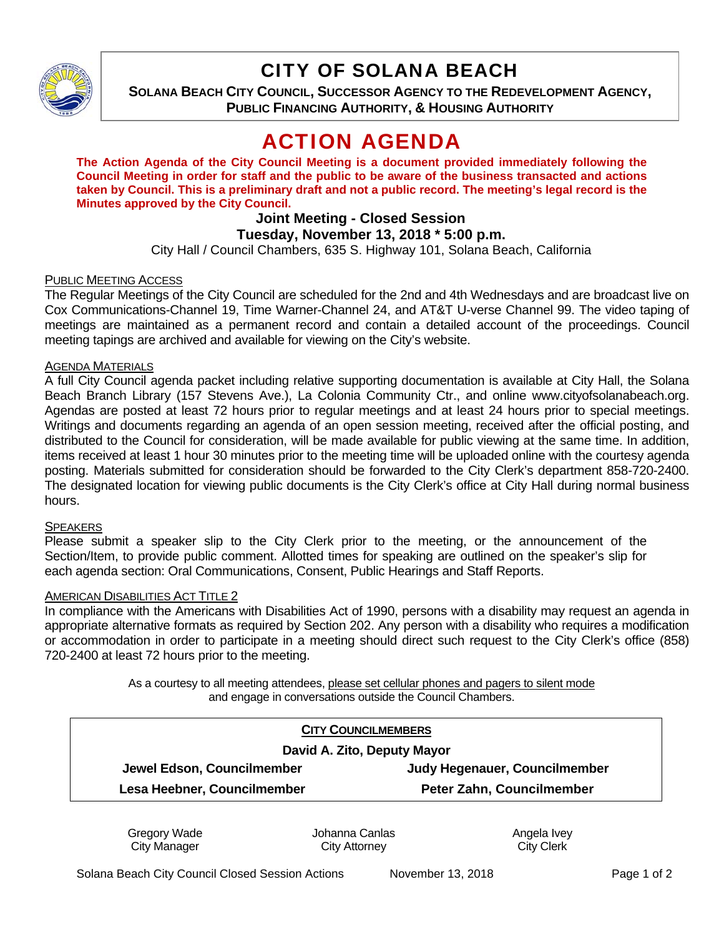

## CITY OF SOLANA BEACH

**SOLANA BEACH CITY COUNCIL, SUCCESSOR AGENCY TO THE REDEVELOPMENT AGENCY, PUBLIC FINANCING AUTHORITY, & HOUSING AUTHORITY**

# ACTION AGENDA

**The Action Agenda of the City Council Meeting is a document provided immediately following the Council Meeting in order for staff and the public to be aware of the business transacted and actions taken by Council. This is a preliminary draft and not a public record. The meeting's legal record is the Minutes approved by the City Council.** 

## **Joint Meeting - Closed Session**

### **Tuesday, November 13, 2018 \* 5:00 p.m.**

City Hall / Council Chambers, 635 S. Highway 101, Solana Beach, California

#### PUBLIC MEETING ACCESS

The Regular Meetings of the City Council are scheduled for the 2nd and 4th Wednesdays and are broadcast live on Cox Communications-Channel 19, Time Warner-Channel 24, and AT&T U-verse Channel 99. The video taping of meetings are maintained as a permanent record and contain a detailed account of the proceedings. Council meeting tapings are archived and available for viewing on the City's website.

#### AGENDA MATERIALS

A full City Council agenda packet including relative supporting documentation is available at City Hall, the Solana Beach Branch Library (157 Stevens Ave.), La Colonia Community Ctr., and online www.cityofsolanabeach.org. Agendas are posted at least 72 hours prior to regular meetings and at least 24 hours prior to special meetings. Writings and documents regarding an agenda of an open session meeting, received after the official posting, and distributed to the Council for consideration, will be made available for public viewing at the same time. In addition, items received at least 1 hour 30 minutes prior to the meeting time will be uploaded online with the courtesy agenda posting. Materials submitted for consideration should be forwarded to the City Clerk's department 858-720-2400. The designated location for viewing public documents is the City Clerk's office at City Hall during normal business hours.

#### **SPEAKERS**

Please submit a speaker slip to the City Clerk prior to the meeting, or the announcement of the Section/Item, to provide public comment. Allotted times for speaking are outlined on the speaker's slip for each agenda section: Oral Communications, Consent, Public Hearings and Staff Reports.

#### AMERICAN DISABILITIES ACT TITLE 2

In compliance with the Americans with Disabilities Act of 1990, persons with a disability may request an agenda in appropriate alternative formats as required by Section 202. Any person with a disability who requires a modification or accommodation in order to participate in a meeting should direct such request to the City Clerk's office (858) 720-2400 at least 72 hours prior to the meeting.

> As a courtesy to all meeting attendees, please set cellular phones and pagers to silent mode and engage in conversations outside the Council Chambers.

| <b>CITY COUNCILMEMBERS</b>  |                               |
|-----------------------------|-------------------------------|
| David A. Zito, Deputy Mayor |                               |
| Jewel Edson, Councilmember  | Judy Hegenauer, Councilmember |
| Lesa Heebner, Councilmember | Peter Zahn, Councilmember     |
|                             |                               |

Gregory Wade City Manager

Johanna Canlas City Attorney

Angela Ivey City Clerk